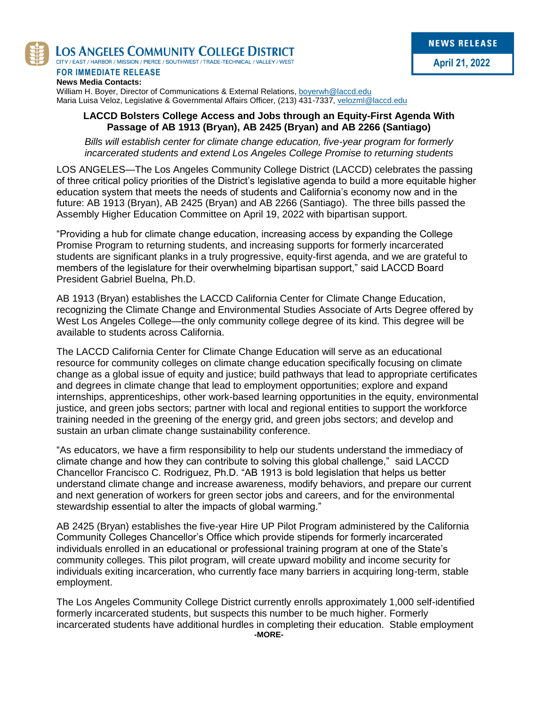

LOS ANGELES COMMUNITY COLLEGE DISTRICT

CITY / EAST / HARBOR / MISSION / PIERCE / SOUTHWEST / TRADE-TECHNICAL / VALLEY / WEST

**FOR IMMEDIATE RELEASE News Media Contacts:**

William H. Boyer, Director of Communications & External Relations, [boyerwh@laccd.edu](mailto:boyerwh@laccd.edu) Maria Luisa Veloz, Legislative & Governmental Affairs Officer, (213) 431-7337[, velozml@laccd.edu](mailto:velozml@laccd.edu)

## **LACCD Bolsters College Access and Jobs through an Equity-First Agenda With Passage of AB 1913 (Bryan), AB 2425 (Bryan) and AB 2266 (Santiago)**

*Bills will establish center for climate change education, five-year program for formerly incarcerated students and extend Los Angeles College Promise to returning students*

LOS ANGELES—The Los Angeles Community College District (LACCD) celebrates the passing of three critical policy priorities of the District's legislative agenda to build a more equitable higher education system that meets the needs of students and California's economy now and in the future: AB 1913 (Bryan), AB 2425 (Bryan) and AB 2266 (Santiago). The three bills passed the Assembly Higher Education Committee on April 19, 2022 with bipartisan support.

"Providing a hub for climate change education, increasing access by expanding the College Promise Program to returning students, and increasing supports for formerly incarcerated students are significant planks in a truly progressive, equity-first agenda, and we are grateful to members of the legislature for their overwhelming bipartisan support," said LACCD Board President Gabriel Buelna, Ph.D.

AB 1913 (Bryan) establishes the LACCD California Center for Climate Change Education, recognizing the Climate Change and Environmental Studies Associate of Arts Degree offered by West Los Angeles College—the only community college degree of its kind. This degree will be available to students across California.

The LACCD California Center for Climate Change Education will serve as an educational resource for community colleges on climate change education specifically focusing on climate change as a global issue of equity and justice; build pathways that lead to appropriate certificates and degrees in climate change that lead to employment opportunities; explore and expand internships, apprenticeships, other work-based learning opportunities in the equity, environmental justice, and green jobs sectors; partner with local and regional entities to support the workforce training needed in the greening of the energy grid, and green jobs sectors; and develop and sustain an urban climate change sustainability conference.

"As educators, we have a firm responsibility to help our students understand the immediacy of climate change and how they can contribute to solving this global challenge," said LACCD Chancellor Francisco C. Rodriguez, Ph.D. "AB 1913 is bold legislation that helps us better understand climate change and increase awareness, modify behaviors, and prepare our current and next generation of workers for green sector jobs and careers, and for the environmental stewardship essential to alter the impacts of global warming."

AB 2425 (Bryan) establishes the five-year Hire UP Pilot Program administered by the California Community Colleges Chancellor's Office which provide stipends for formerly incarcerated individuals enrolled in an educational or professional training program at one of the State's community colleges. This pilot program, will create upward mobility and income security for individuals exiting incarceration, who currently face many barriers in acquiring long-term, stable employment.

The Los Angeles Community College District currently enrolls approximately 1,000 self-identified formerly incarcerated students, but suspects this number to be much higher. Formerly incarcerated students have additional hurdles in completing their education. Stable employment